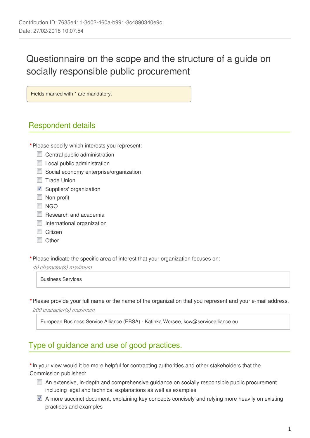# Questionnaire on the scope and the structure of a guide on socially responsible public procurement

Fields marked with \* are mandatory.

## Respondent details

- **\***Please specify which interests you represent:
	- Central public administration
	- **Local public administration**
	- Social economy enterprise/organization
	- Trade Union
	- Suppliers' organization
	- **Non-profit**
	- **NGO**
	- $\Box$  Research and academia
	- **International organization**
	- Citizen
	- **N** Other

**\***Please indicate the specific area of interest that your organization focuses on:

*40 character(s) maximum*

Business Services

**\***Please provide your full name or the name of the organization that you represent and your e-mail address. *200 character(s) maximum*

European Business Service Alliance (EBSA) - Katinka Worsøe, kcw@servicealliance.eu

#### Type of guidance and use of good practices.

**\***In your view would it be more helpful for contracting authorities and other stakeholders that the Commission published:

- An extensive, in-depth and comprehensive guidance on socially responsible public procurement including legal and technical explanations as well as examples
- A more succinct document, explaining key concepts concisely and relying more heavily on existing practices and examples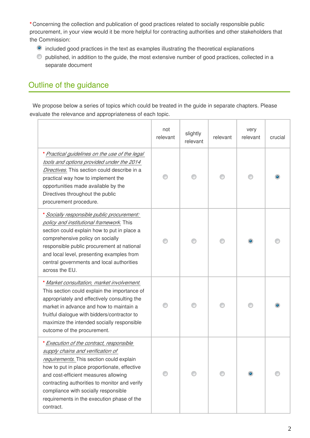**\***Concerning the collection and publication of good practices related to socially responsible public procurement, in your view would it be more helpful for contracting authorities and other stakeholders that the Commission:

- included good practices in the text as examples illustrating the theoretical explanations
- published, in addition to the guide, the most extensive number of good practices, collected in a separate document

## Outline of the guidance

We propose below a series of topics which could be treated in the guide in separate chapters. Please evaluate the relevance and appropriateness of each topic.

|                                                                                                                                                                                                                                                                                                                                                                       | not<br>relevant | slightly<br>relevant | relevant | very<br>relevant | crucial |
|-----------------------------------------------------------------------------------------------------------------------------------------------------------------------------------------------------------------------------------------------------------------------------------------------------------------------------------------------------------------------|-----------------|----------------------|----------|------------------|---------|
| * Practical guidelines on the use of the legal<br>tools and options provided under the 2014<br>Directives. This section could describe in a<br>practical way how to implement the<br>opportunities made available by the<br>Directives throughout the public<br>procurement procedure.                                                                                |                 |                      |          |                  |         |
| * Socially responsible public procurement:<br>policy and institutional framework. This<br>section could explain how to put in place a<br>comprehensive policy on socially<br>responsible public procurement at national<br>and local level, presenting examples from<br>central governments and local authorities<br>across the EU.                                   |                 |                      |          |                  |         |
| * Market consultation, market involvement.<br>This section could explain the importance of<br>appropriately and effectively consulting the<br>market in advance and how to maintain a<br>fruitful dialogue with bidders/contractor to<br>maximize the intended socially responsible<br>outcome of the procurement.                                                    |                 |                      |          |                  |         |
| * Execution of the contract, responsible<br>supply chains and verification of<br>requirements. This section could explain<br>how to put in place proportionate, effective<br>and cost-efficient measures allowing<br>contracting authorities to monitor and verify<br>compliance with socially responsible<br>requirements in the execution phase of the<br>contract. |                 |                      |          |                  |         |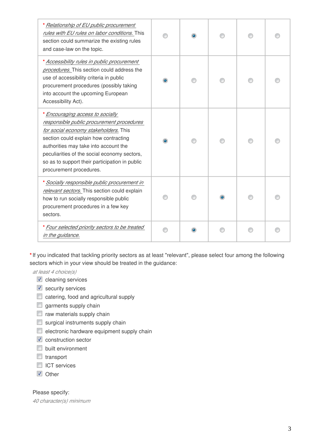| * Relationship of EU public procurement<br>rules with EU rules on labor conditions. This<br>section could summarize the existing rules<br>and case-law on the topic.                                                                                                                                                                  |  |  |  |
|---------------------------------------------------------------------------------------------------------------------------------------------------------------------------------------------------------------------------------------------------------------------------------------------------------------------------------------|--|--|--|
| * Accessibility rules in public procurement<br>procedures. This section could address the<br>use of accessibility criteria in public<br>procurement procedures (possibly taking<br>into account the upcoming European<br>Accessibility Act).                                                                                          |  |  |  |
| * Encouraging access to socially<br>responsible public procurement procedures<br>for social economy stakeholders. This<br>section could explain how contracting<br>authorities may take into account the<br>peculiarities of the social economy sectors,<br>so as to support their participation in public<br>procurement procedures. |  |  |  |
| * Socially responsible public procurement in<br>relevant sectors. This section could explain<br>how to run socially responsible public<br>procurement procedures in a few key<br>sectors.                                                                                                                                             |  |  |  |
| * Four selected priority sectors to be treated<br>in the guidance.                                                                                                                                                                                                                                                                    |  |  |  |

**\***If you indicated that tackling priority sectors as at least "relevant", please select four among the following sectors which in your view should be treated in the guidance:

*at least 4 choice(s)*

- $\blacksquare$  cleaning services
- security services
- catering, food and agricultural supply
- $\Box$  garments supply chain
- $\Box$  raw materials supply chain
- $\Box$  surgical instruments supply chain
- $\blacksquare$  electronic hardware equipment supply chain
- $\triangledown$  construction sector
- **D** built environment
- $\Box$  transport
- **ID ICT services**
- **V** Other

Please specify:

*40 character(s) minimum*